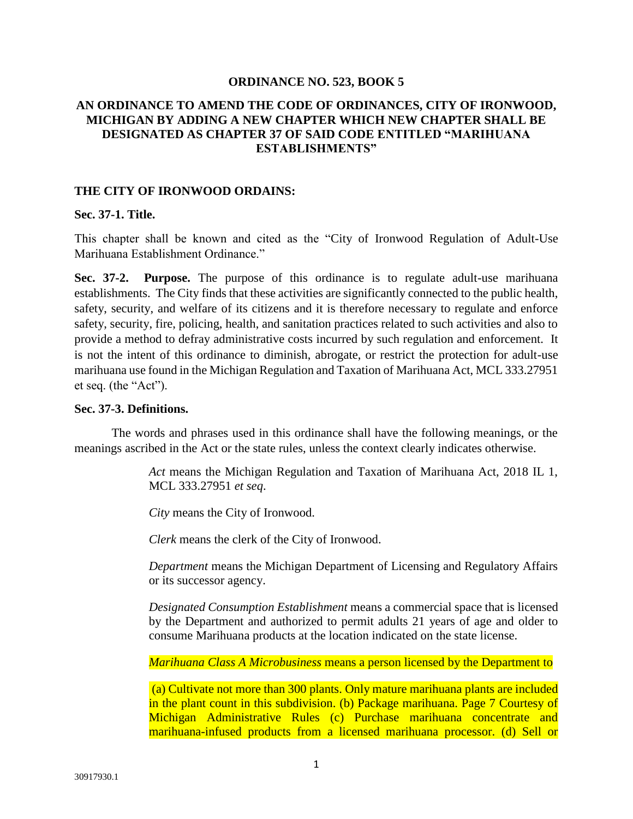#### **ORDINANCE NO. 523, BOOK 5**

# **AN ORDINANCE TO AMEND THE CODE OF ORDINANCES, CITY OF IRONWOOD, MICHIGAN BY ADDING A NEW CHAPTER WHICH NEW CHAPTER SHALL BE DESIGNATED AS CHAPTER 37 OF SAID CODE ENTITLED "MARIHUANA ESTABLISHMENTS"**

#### **THE CITY OF IRONWOOD ORDAINS:**

#### **Sec. 37-1. Title.**

This chapter shall be known and cited as the "City of Ironwood Regulation of Adult-Use Marihuana Establishment Ordinance."

**Sec. 37-2. Purpose.** The purpose of this ordinance is to regulate adult-use marihuana establishments. The City finds that these activities are significantly connected to the public health, safety, security, and welfare of its citizens and it is therefore necessary to regulate and enforce safety, security, fire, policing, health, and sanitation practices related to such activities and also to provide a method to defray administrative costs incurred by such regulation and enforcement. It is not the intent of this ordinance to diminish, abrogate, or restrict the protection for adult-use marihuana use found in the Michigan Regulation and Taxation of Marihuana Act, MCL 333.27951 et seq. (the "Act").

#### **Sec. 37-3. Definitions.**

The words and phrases used in this ordinance shall have the following meanings, or the meanings ascribed in the Act or the state rules, unless the context clearly indicates otherwise.

> *Act* means the Michigan Regulation and Taxation of Marihuana Act, 2018 IL 1, MCL 333.27951 *et seq*.

*City* means the City of Ironwood.

*Clerk* means the clerk of the City of Ironwood.

*Department* means the Michigan Department of Licensing and Regulatory Affairs or its successor agency.

*Designated Consumption Establishment* means a commercial space that is licensed by the Department and authorized to permit adults 21 years of age and older to consume Marihuana products at the location indicated on the state license.

*Marihuana Class A Microbusiness* means a person licensed by the Department to

(a) Cultivate not more than 300 plants. Only mature marihuana plants are included in the plant count in this subdivision. (b) Package marihuana. Page 7 Courtesy of Michigan Administrative Rules (c) Purchase marihuana concentrate and marihuana-infused products from a licensed marihuana processor. (d) Sell or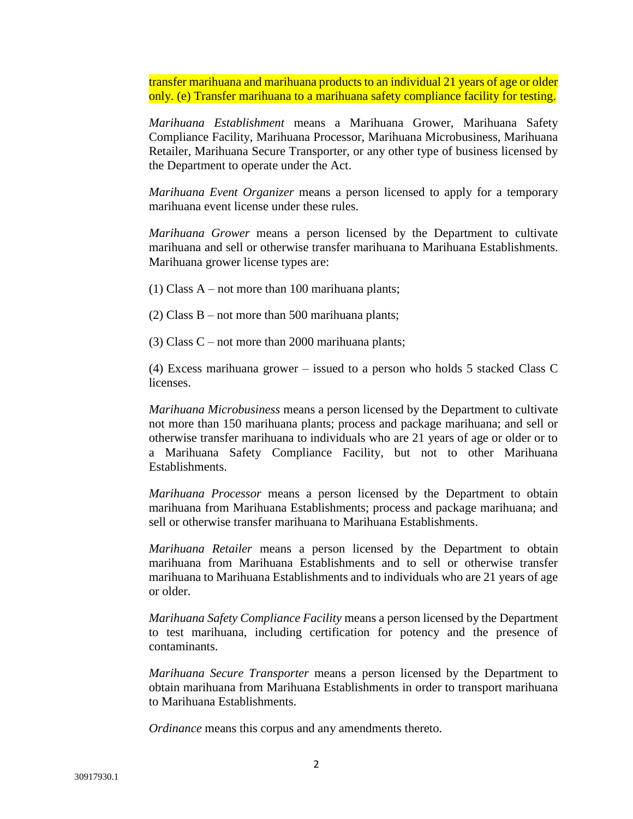transfer marihuana and marihuana products to an individual 21 years of age or older only. (e) Transfer marihuana to a marihuana safety compliance facility for testing.

*Marihuana Establishment* means a Marihuana Grower, Marihuana Safety Compliance Facility, Marihuana Processor, Marihuana Microbusiness, Marihuana Retailer, Marihuana Secure Transporter, or any other type of business licensed by the Department to operate under the Act.

*Marihuana Event Organizer* means a person licensed to apply for a temporary marihuana event license under these rules.

*Marihuana Grower* means a person licensed by the Department to cultivate marihuana and sell or otherwise transfer marihuana to Marihuana Establishments. Marihuana grower license types are:

(1) Class  $A$  – not more than 100 marihuana plants;

(2) Class B – not more than 500 marihuana plants;

(3) Class  $C$  – not more than 2000 marihuana plants;

(4) Excess marihuana grower – issued to a person who holds 5 stacked Class C licenses.

*Marihuana Microbusiness* means a person licensed by the Department to cultivate not more than 150 marihuana plants; process and package marihuana; and sell or otherwise transfer marihuana to individuals who are 21 years of age or older or to a Marihuana Safety Compliance Facility, but not to other Marihuana Establishments.

*Marihuana Processor* means a person licensed by the Department to obtain marihuana from Marihuana Establishments; process and package marihuana; and sell or otherwise transfer marihuana to Marihuana Establishments.

*Marihuana Retailer* means a person licensed by the Department to obtain marihuana from Marihuana Establishments and to sell or otherwise transfer marihuana to Marihuana Establishments and to individuals who are 21 years of age or older.

*Marihuana Safety Compliance Facility* means a person licensed by the Department to test marihuana, including certification for potency and the presence of contaminants.

*Marihuana Secure Transporter* means a person licensed by the Department to obtain marihuana from Marihuana Establishments in order to transport marihuana to Marihuana Establishments.

*Ordinance* means this corpus and any amendments thereto.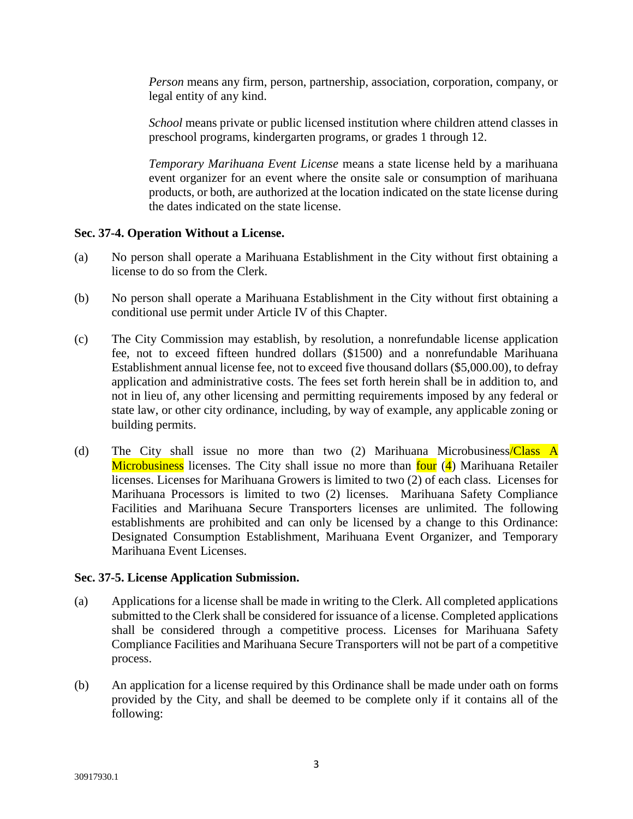*Person* means any firm, person, partnership, association, corporation, company, or legal entity of any kind.

*School* means private or public licensed institution where children attend classes in preschool programs, kindergarten programs, or grades 1 through 12.

*Temporary Marihuana Event License* means a state license held by a marihuana event organizer for an event where the onsite sale or consumption of marihuana products, or both, are authorized at the location indicated on the state license during the dates indicated on the state license.

# **Sec. 37-4. Operation Without a License.**

- (a) No person shall operate a Marihuana Establishment in the City without first obtaining a license to do so from the Clerk.
- (b) No person shall operate a Marihuana Establishment in the City without first obtaining a conditional use permit under Article IV of this Chapter.
- (c) The City Commission may establish, by resolution, a nonrefundable license application fee, not to exceed fifteen hundred dollars (\$1500) and a nonrefundable Marihuana Establishment annual license fee, not to exceed five thousand dollars (\$5,000.00), to defray application and administrative costs. The fees set forth herein shall be in addition to, and not in lieu of, any other licensing and permitting requirements imposed by any federal or state law, or other city ordinance, including, by way of example, any applicable zoning or building permits.
- (d) The City shall issue no more than two (2) Marihuana Microbusiness/Class A Microbusiness licenses. The City shall issue no more than four (4) Marihuana Retailer licenses. Licenses for Marihuana Growers is limited to two (2) of each class. Licenses for Marihuana Processors is limited to two (2) licenses. Marihuana Safety Compliance Facilities and Marihuana Secure Transporters licenses are unlimited. The following establishments are prohibited and can only be licensed by a change to this Ordinance: Designated Consumption Establishment, Marihuana Event Organizer, and Temporary Marihuana Event Licenses.

# **Sec. 37-5. License Application Submission.**

- (a) Applications for a license shall be made in writing to the Clerk. All completed applications submitted to the Clerk shall be considered for issuance of a license. Completed applications shall be considered through a competitive process. Licenses for Marihuana Safety Compliance Facilities and Marihuana Secure Transporters will not be part of a competitive process.
- (b) An application for a license required by this Ordinance shall be made under oath on forms provided by the City, and shall be deemed to be complete only if it contains all of the following: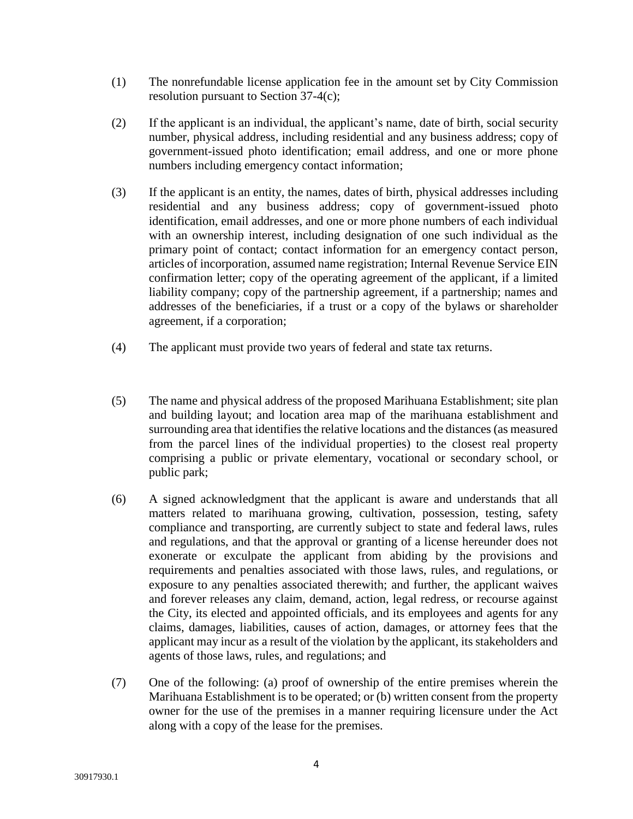- (1) The nonrefundable license application fee in the amount set by City Commission resolution pursuant to Section 37-4(c);
- (2) If the applicant is an individual, the applicant's name, date of birth, social security number, physical address, including residential and any business address; copy of government-issued photo identification; email address, and one or more phone numbers including emergency contact information;
- (3) If the applicant is an entity, the names, dates of birth, physical addresses including residential and any business address; copy of government-issued photo identification, email addresses, and one or more phone numbers of each individual with an ownership interest, including designation of one such individual as the primary point of contact; contact information for an emergency contact person, articles of incorporation, assumed name registration; Internal Revenue Service EIN confirmation letter; copy of the operating agreement of the applicant, if a limited liability company; copy of the partnership agreement, if a partnership; names and addresses of the beneficiaries, if a trust or a copy of the bylaws or shareholder agreement, if a corporation;
- (4) The applicant must provide two years of federal and state tax returns.
- (5) The name and physical address of the proposed Marihuana Establishment; site plan and building layout; and location area map of the marihuana establishment and surrounding area that identifies the relative locations and the distances (as measured from the parcel lines of the individual properties) to the closest real property comprising a public or private elementary, vocational or secondary school, or public park;
- (6) A signed acknowledgment that the applicant is aware and understands that all matters related to marihuana growing, cultivation, possession, testing, safety compliance and transporting, are currently subject to state and federal laws, rules and regulations, and that the approval or granting of a license hereunder does not exonerate or exculpate the applicant from abiding by the provisions and requirements and penalties associated with those laws, rules, and regulations, or exposure to any penalties associated therewith; and further, the applicant waives and forever releases any claim, demand, action, legal redress, or recourse against the City, its elected and appointed officials, and its employees and agents for any claims, damages, liabilities, causes of action, damages, or attorney fees that the applicant may incur as a result of the violation by the applicant, its stakeholders and agents of those laws, rules, and regulations; and
- (7) One of the following: (a) proof of ownership of the entire premises wherein the Marihuana Establishment is to be operated; or (b) written consent from the property owner for the use of the premises in a manner requiring licensure under the Act along with a copy of the lease for the premises.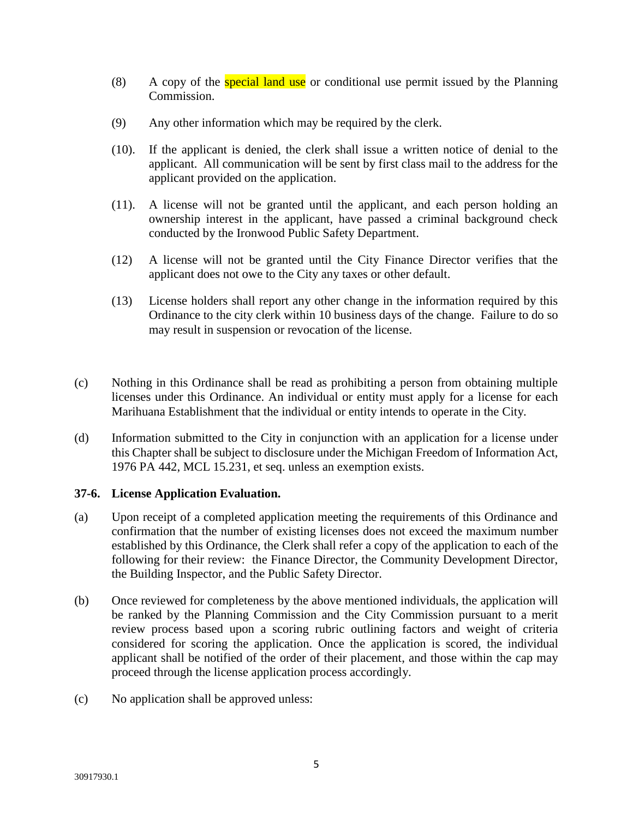- (8) A copy of the **special land use** or conditional use permit issued by the Planning Commission.
- (9) Any other information which may be required by the clerk.
- (10). If the applicant is denied, the clerk shall issue a written notice of denial to the applicant. All communication will be sent by first class mail to the address for the applicant provided on the application.
- (11). A license will not be granted until the applicant, and each person holding an ownership interest in the applicant, have passed a criminal background check conducted by the Ironwood Public Safety Department.
- (12) A license will not be granted until the City Finance Director verifies that the applicant does not owe to the City any taxes or other default.
- (13) License holders shall report any other change in the information required by this Ordinance to the city clerk within 10 business days of the change. Failure to do so may result in suspension or revocation of the license.
- (c) Nothing in this Ordinance shall be read as prohibiting a person from obtaining multiple licenses under this Ordinance. An individual or entity must apply for a license for each Marihuana Establishment that the individual or entity intends to operate in the City.
- (d) Information submitted to the City in conjunction with an application for a license under this Chapter shall be subject to disclosure under the Michigan Freedom of Information Act, 1976 PA 442, MCL 15.231, et seq. unless an exemption exists.

# **37-6. License Application Evaluation.**

- (a) Upon receipt of a completed application meeting the requirements of this Ordinance and confirmation that the number of existing licenses does not exceed the maximum number established by this Ordinance, the Clerk shall refer a copy of the application to each of the following for their review: the Finance Director, the Community Development Director, the Building Inspector, and the Public Safety Director.
- (b) Once reviewed for completeness by the above mentioned individuals, the application will be ranked by the Planning Commission and the City Commission pursuant to a merit review process based upon a scoring rubric outlining factors and weight of criteria considered for scoring the application. Once the application is scored, the individual applicant shall be notified of the order of their placement, and those within the cap may proceed through the license application process accordingly.
- (c) No application shall be approved unless: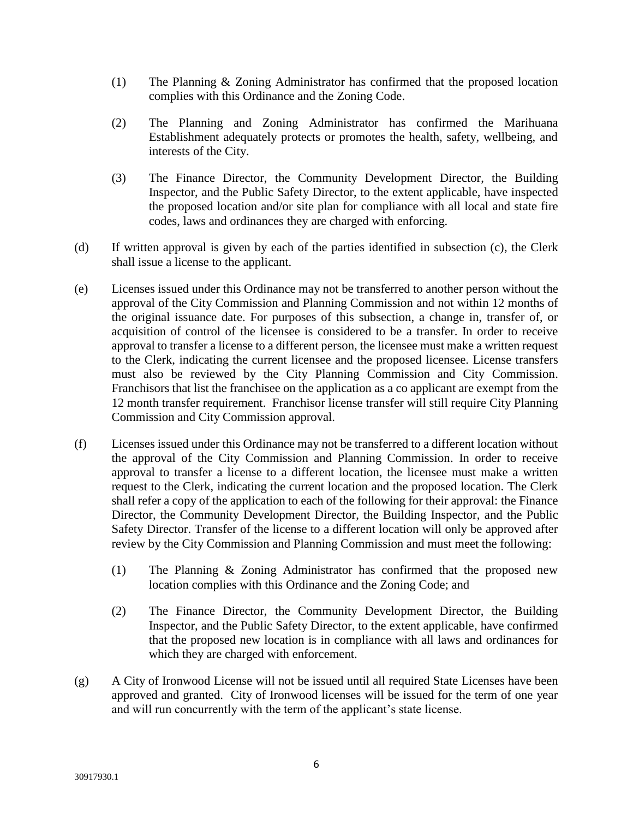- (1) The Planning & Zoning Administrator has confirmed that the proposed location complies with this Ordinance and the Zoning Code.
- (2) The Planning and Zoning Administrator has confirmed the Marihuana Establishment adequately protects or promotes the health, safety, wellbeing, and interests of the City.
- (3) The Finance Director, the Community Development Director, the Building Inspector, and the Public Safety Director, to the extent applicable, have inspected the proposed location and/or site plan for compliance with all local and state fire codes, laws and ordinances they are charged with enforcing.
- (d) If written approval is given by each of the parties identified in subsection (c), the Clerk shall issue a license to the applicant.
- (e) Licenses issued under this Ordinance may not be transferred to another person without the approval of the City Commission and Planning Commission and not within 12 months of the original issuance date. For purposes of this subsection, a change in, transfer of, or acquisition of control of the licensee is considered to be a transfer. In order to receive approval to transfer a license to a different person, the licensee must make a written request to the Clerk, indicating the current licensee and the proposed licensee. License transfers must also be reviewed by the City Planning Commission and City Commission. Franchisors that list the franchisee on the application as a co applicant are exempt from the 12 month transfer requirement. Franchisor license transfer will still require City Planning Commission and City Commission approval.
- (f) Licenses issued under this Ordinance may not be transferred to a different location without the approval of the City Commission and Planning Commission. In order to receive approval to transfer a license to a different location, the licensee must make a written request to the Clerk, indicating the current location and the proposed location. The Clerk shall refer a copy of the application to each of the following for their approval: the Finance Director, the Community Development Director, the Building Inspector, and the Public Safety Director. Transfer of the license to a different location will only be approved after review by the City Commission and Planning Commission and must meet the following:
	- (1) The Planning & Zoning Administrator has confirmed that the proposed new location complies with this Ordinance and the Zoning Code; and
	- (2) The Finance Director, the Community Development Director, the Building Inspector, and the Public Safety Director, to the extent applicable, have confirmed that the proposed new location is in compliance with all laws and ordinances for which they are charged with enforcement.
- (g) A City of Ironwood License will not be issued until all required State Licenses have been approved and granted. City of Ironwood licenses will be issued for the term of one year and will run concurrently with the term of the applicant's state license.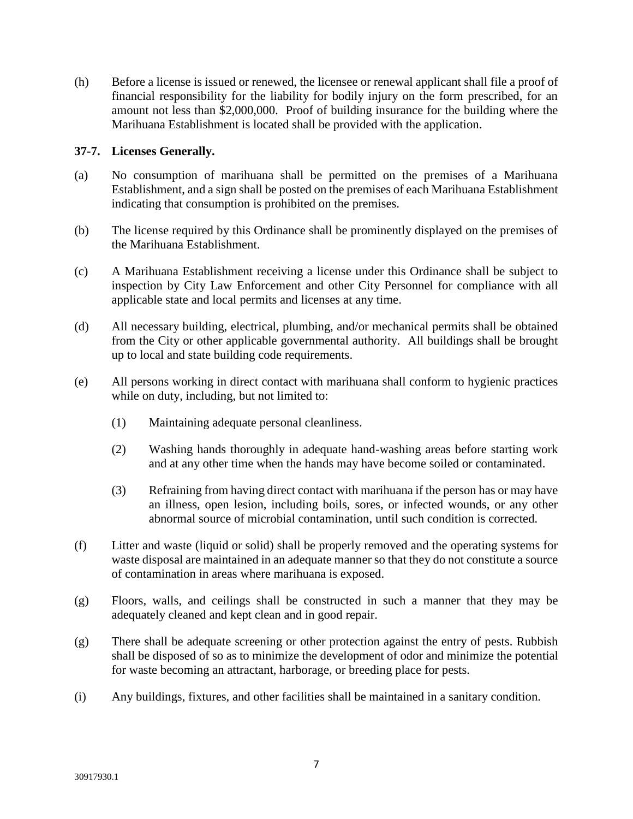(h) Before a license is issued or renewed, the licensee or renewal applicant shall file a proof of financial responsibility for the liability for bodily injury on the form prescribed, for an amount not less than \$2,000,000. Proof of building insurance for the building where the Marihuana Establishment is located shall be provided with the application.

# **37-7. Licenses Generally.**

- (a) No consumption of marihuana shall be permitted on the premises of a Marihuana Establishment, and a sign shall be posted on the premises of each Marihuana Establishment indicating that consumption is prohibited on the premises.
- (b) The license required by this Ordinance shall be prominently displayed on the premises of the Marihuana Establishment.
- (c) A Marihuana Establishment receiving a license under this Ordinance shall be subject to inspection by City Law Enforcement and other City Personnel for compliance with all applicable state and local permits and licenses at any time.
- (d) All necessary building, electrical, plumbing, and/or mechanical permits shall be obtained from the City or other applicable governmental authority. All buildings shall be brought up to local and state building code requirements.
- (e) All persons working in direct contact with marihuana shall conform to hygienic practices while on duty, including, but not limited to:
	- (1) Maintaining adequate personal cleanliness.
	- (2) Washing hands thoroughly in adequate hand-washing areas before starting work and at any other time when the hands may have become soiled or contaminated.
	- (3) Refraining from having direct contact with marihuana if the person has or may have an illness, open lesion, including boils, sores, or infected wounds, or any other abnormal source of microbial contamination, until such condition is corrected.
- (f) Litter and waste (liquid or solid) shall be properly removed and the operating systems for waste disposal are maintained in an adequate manner so that they do not constitute a source of contamination in areas where marihuana is exposed.
- (g) Floors, walls, and ceilings shall be constructed in such a manner that they may be adequately cleaned and kept clean and in good repair.
- (g) There shall be adequate screening or other protection against the entry of pests. Rubbish shall be disposed of so as to minimize the development of odor and minimize the potential for waste becoming an attractant, harborage, or breeding place for pests.
- (i) Any buildings, fixtures, and other facilities shall be maintained in a sanitary condition.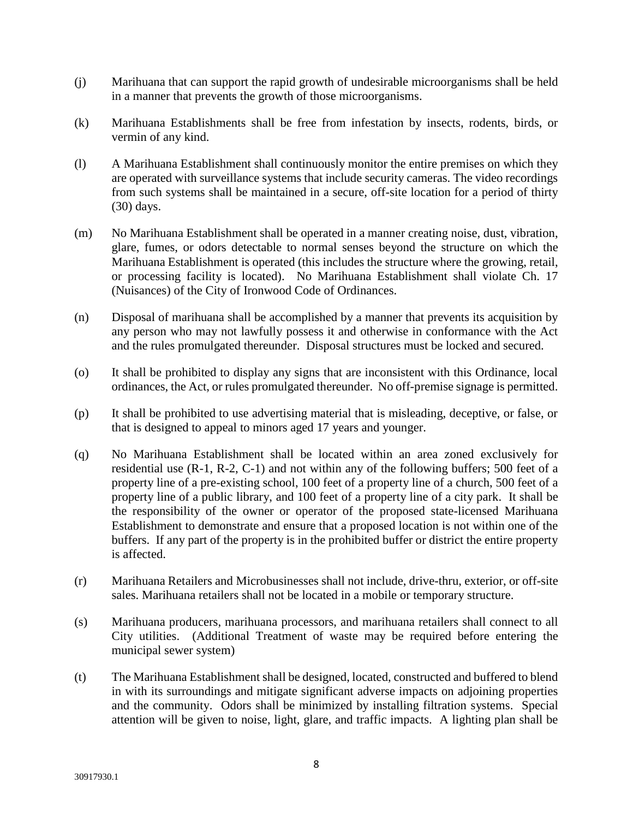- (j) Marihuana that can support the rapid growth of undesirable microorganisms shall be held in a manner that prevents the growth of those microorganisms.
- (k) Marihuana Establishments shall be free from infestation by insects, rodents, birds, or vermin of any kind.
- (l) A Marihuana Establishment shall continuously monitor the entire premises on which they are operated with surveillance systems that include security cameras. The video recordings from such systems shall be maintained in a secure, off-site location for a period of thirty (30) days.
- (m) No Marihuana Establishment shall be operated in a manner creating noise, dust, vibration, glare, fumes, or odors detectable to normal senses beyond the structure on which the Marihuana Establishment is operated (this includes the structure where the growing, retail, or processing facility is located). No Marihuana Establishment shall violate Ch. 17 (Nuisances) of the City of Ironwood Code of Ordinances.
- (n) Disposal of marihuana shall be accomplished by a manner that prevents its acquisition by any person who may not lawfully possess it and otherwise in conformance with the Act and the rules promulgated thereunder. Disposal structures must be locked and secured.
- (o) It shall be prohibited to display any signs that are inconsistent with this Ordinance, local ordinances, the Act, or rules promulgated thereunder. No off-premise signage is permitted.
- (p) It shall be prohibited to use advertising material that is misleading, deceptive, or false, or that is designed to appeal to minors aged 17 years and younger.
- (q) No Marihuana Establishment shall be located within an area zoned exclusively for residential use (R-1, R-2, C-1) and not within any of the following buffers; 500 feet of a property line of a pre-existing school, 100 feet of a property line of a church, 500 feet of a property line of a public library, and 100 feet of a property line of a city park. It shall be the responsibility of the owner or operator of the proposed state-licensed Marihuana Establishment to demonstrate and ensure that a proposed location is not within one of the buffers. If any part of the property is in the prohibited buffer or district the entire property is affected.
- (r) Marihuana Retailers and Microbusinesses shall not include, drive-thru, exterior, or off-site sales. Marihuana retailers shall not be located in a mobile or temporary structure.
- (s) Marihuana producers, marihuana processors, and marihuana retailers shall connect to all City utilities. (Additional Treatment of waste may be required before entering the municipal sewer system)
- (t) The Marihuana Establishment shall be designed, located, constructed and buffered to blend in with its surroundings and mitigate significant adverse impacts on adjoining properties and the community. Odors shall be minimized by installing filtration systems. Special attention will be given to noise, light, glare, and traffic impacts. A lighting plan shall be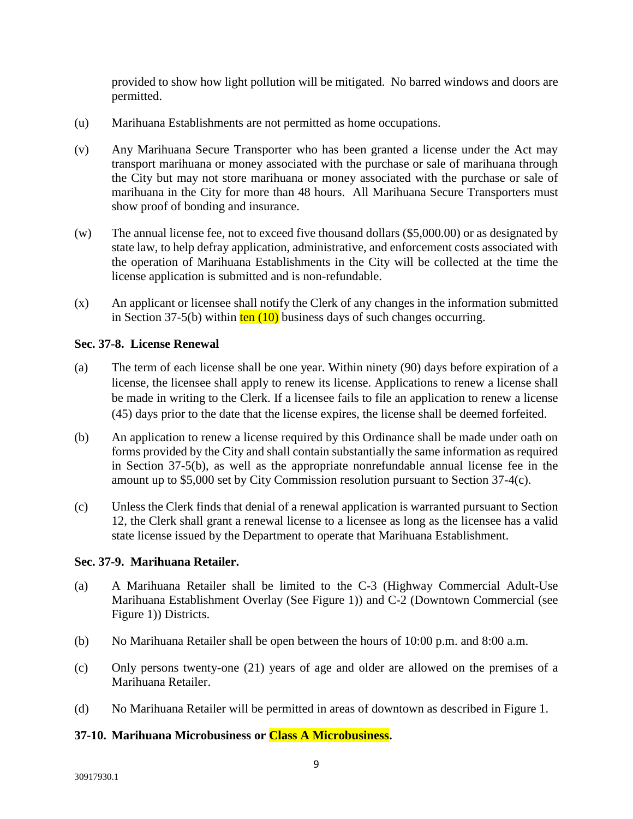provided to show how light pollution will be mitigated. No barred windows and doors are permitted.

- (u) Marihuana Establishments are not permitted as home occupations.
- (v) Any Marihuana Secure Transporter who has been granted a license under the Act may transport marihuana or money associated with the purchase or sale of marihuana through the City but may not store marihuana or money associated with the purchase or sale of marihuana in the City for more than 48 hours. All Marihuana Secure Transporters must show proof of bonding and insurance.
- (w) The annual license fee, not to exceed five thousand dollars (\$5,000.00) or as designated by state law, to help defray application, administrative, and enforcement costs associated with the operation of Marihuana Establishments in the City will be collected at the time the license application is submitted and is non-refundable.
- (x) An applicant or licensee shall notify the Clerk of any changes in the information submitted in Section 37-5(b) within  $ten (10)$  business days of such changes occurring.

# **Sec. 37-8. License Renewal**

- (a) The term of each license shall be one year. Within ninety (90) days before expiration of a license, the licensee shall apply to renew its license. Applications to renew a license shall be made in writing to the Clerk. If a licensee fails to file an application to renew a license (45) days prior to the date that the license expires, the license shall be deemed forfeited.
- (b) An application to renew a license required by this Ordinance shall be made under oath on forms provided by the City and shall contain substantially the same information as required in Section 37-5(b), as well as the appropriate nonrefundable annual license fee in the amount up to \$5,000 set by City Commission resolution pursuant to Section 37-4(c).
- (c) Unless the Clerk finds that denial of a renewal application is warranted pursuant to Section 12, the Clerk shall grant a renewal license to a licensee as long as the licensee has a valid state license issued by the Department to operate that Marihuana Establishment.

# **Sec. 37-9. Marihuana Retailer.**

- (a) A Marihuana Retailer shall be limited to the C-3 (Highway Commercial Adult-Use Marihuana Establishment Overlay (See Figure 1)) and C-2 (Downtown Commercial (see Figure 1)) Districts.
- (b) No Marihuana Retailer shall be open between the hours of 10:00 p.m. and 8:00 a.m.
- (c) Only persons twenty-one (21) years of age and older are allowed on the premises of a Marihuana Retailer.
- (d) No Marihuana Retailer will be permitted in areas of downtown as described in Figure 1.

# **37-10. Marihuana Microbusiness or Class A Microbusiness.**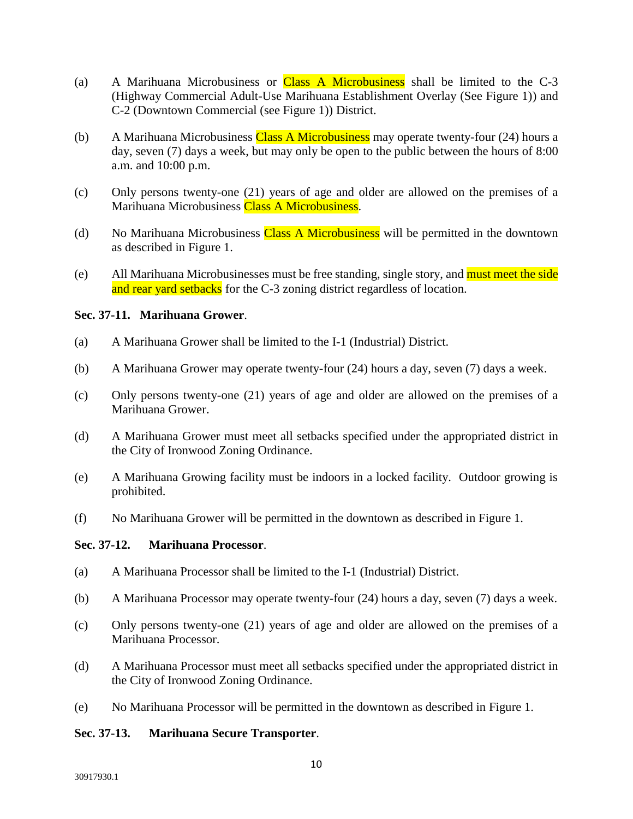- (a) A Marihuana Microbusiness or Class A Microbusiness shall be limited to the  $C-3$ (Highway Commercial Adult-Use Marihuana Establishment Overlay (See Figure 1)) and C-2 (Downtown Commercial (see Figure 1)) District.
- (b) A Marihuana Microbusiness Class A Microbusiness may operate twenty-four (24) hours a day, seven (7) days a week, but may only be open to the public between the hours of 8:00 a.m. and 10:00 p.m.
- (c) Only persons twenty-one (21) years of age and older are allowed on the premises of a Marihuana Microbusiness Class A Microbusiness.
- (d) No Marihuana Microbusiness Class A Microbusiness will be permitted in the downtown as described in Figure 1.
- (e) All Marihuana Microbusinesses must be free standing, single story, and must meet the side and rear yard setbacks for the C-3 zoning district regardless of location.

### **Sec. 37-11. Marihuana Grower**.

- (a) A Marihuana Grower shall be limited to the I-1 (Industrial) District.
- (b) A Marihuana Grower may operate twenty-four (24) hours a day, seven (7) days a week.
- (c) Only persons twenty-one (21) years of age and older are allowed on the premises of a Marihuana Grower.
- (d) A Marihuana Grower must meet all setbacks specified under the appropriated district in the City of Ironwood Zoning Ordinance.
- (e) A Marihuana Growing facility must be indoors in a locked facility. Outdoor growing is prohibited.
- (f) No Marihuana Grower will be permitted in the downtown as described in Figure 1.

#### **Sec. 37-12. Marihuana Processor**.

- (a) A Marihuana Processor shall be limited to the I-1 (Industrial) District.
- (b) A Marihuana Processor may operate twenty-four (24) hours a day, seven (7) days a week.
- (c) Only persons twenty-one (21) years of age and older are allowed on the premises of a Marihuana Processor.
- (d) A Marihuana Processor must meet all setbacks specified under the appropriated district in the City of Ironwood Zoning Ordinance.
- (e) No Marihuana Processor will be permitted in the downtown as described in Figure 1.

#### **Sec. 37-13. Marihuana Secure Transporter**.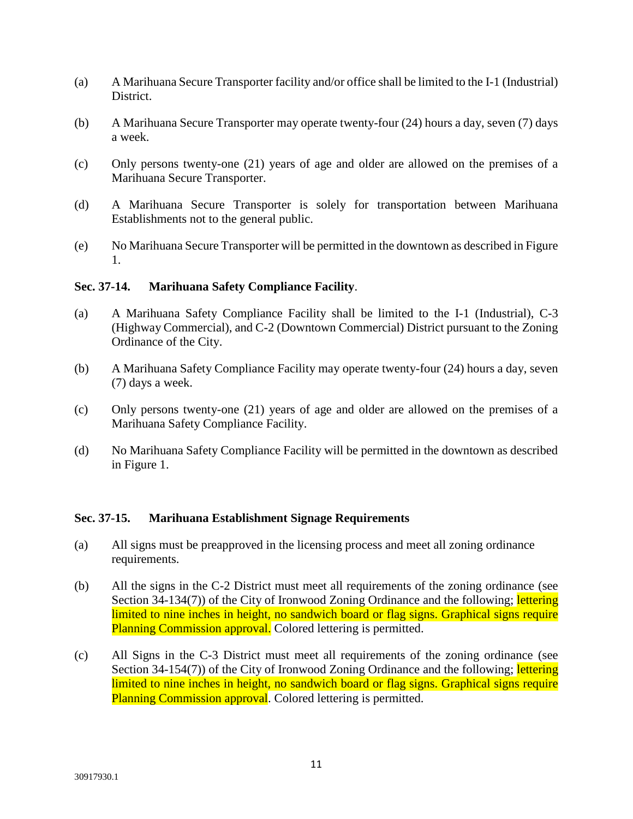- (a) A Marihuana Secure Transporter facility and/or office shall be limited to the I-1 (Industrial) District.
- (b) A Marihuana Secure Transporter may operate twenty-four (24) hours a day, seven (7) days a week.
- (c) Only persons twenty-one (21) years of age and older are allowed on the premises of a Marihuana Secure Transporter.
- (d) A Marihuana Secure Transporter is solely for transportation between Marihuana Establishments not to the general public.
- (e) No Marihuana Secure Transporter will be permitted in the downtown as described in Figure 1.

# **Sec. 37-14. Marihuana Safety Compliance Facility**.

- (a) A Marihuana Safety Compliance Facility shall be limited to the I-1 (Industrial), C-3 (Highway Commercial), and C-2 (Downtown Commercial) District pursuant to the Zoning Ordinance of the City.
- (b) A Marihuana Safety Compliance Facility may operate twenty-four (24) hours a day, seven (7) days a week.
- (c) Only persons twenty-one (21) years of age and older are allowed on the premises of a Marihuana Safety Compliance Facility.
- (d) No Marihuana Safety Compliance Facility will be permitted in the downtown as described in Figure 1.

#### **Sec. 37-15. Marihuana Establishment Signage Requirements**

- (a) All signs must be preapproved in the licensing process and meet all zoning ordinance requirements.
- (b) All the signs in the C-2 District must meet all requirements of the zoning ordinance (see Section 34-134(7)) of the City of Ironwood Zoning Ordinance and the following; lettering limited to nine inches in height, no sandwich board or flag signs. Graphical signs require Planning Commission approval. Colored lettering is permitted.
- (c) All Signs in the C-3 District must meet all requirements of the zoning ordinance (see Section 34-154(7)) of the City of Ironwood Zoning Ordinance and the following; lettering limited to nine inches in height, no sandwich board or flag signs. Graphical signs require Planning Commission approval. Colored lettering is permitted.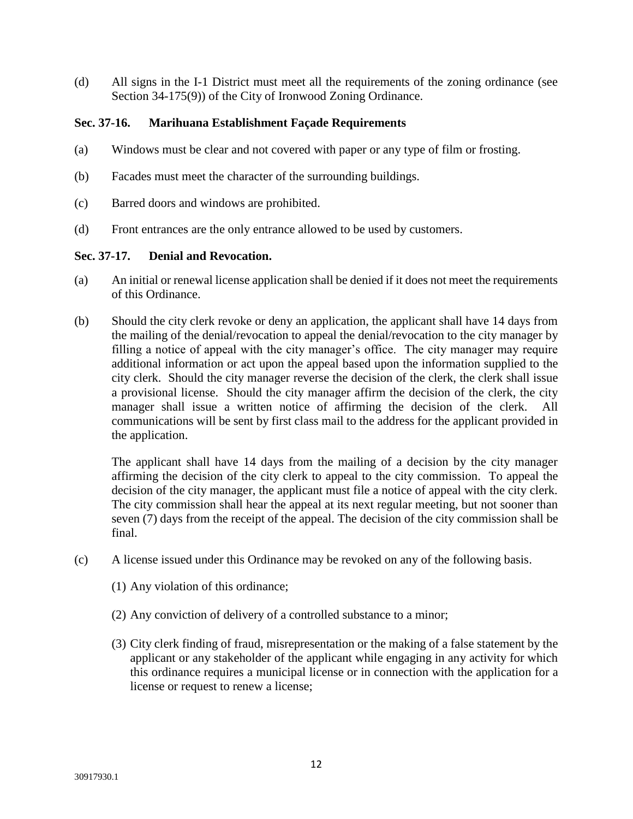(d) All signs in the I-1 District must meet all the requirements of the zoning ordinance (see Section 34-175(9)) of the City of Ironwood Zoning Ordinance.

# **Sec. 37-16. Marihuana Establishment Façade Requirements**

- (a) Windows must be clear and not covered with paper or any type of film or frosting.
- (b) Facades must meet the character of the surrounding buildings.
- (c) Barred doors and windows are prohibited.
- (d) Front entrances are the only entrance allowed to be used by customers.

# **Sec. 37-17. Denial and Revocation.**

- (a) An initial or renewal license application shall be denied if it does not meet the requirements of this Ordinance.
- (b) Should the city clerk revoke or deny an application, the applicant shall have 14 days from the mailing of the denial/revocation to appeal the denial/revocation to the city manager by filling a notice of appeal with the city manager's office. The city manager may require additional information or act upon the appeal based upon the information supplied to the city clerk. Should the city manager reverse the decision of the clerk, the clerk shall issue a provisional license. Should the city manager affirm the decision of the clerk, the city manager shall issue a written notice of affirming the decision of the clerk. communications will be sent by first class mail to the address for the applicant provided in the application.

The applicant shall have 14 days from the mailing of a decision by the city manager affirming the decision of the city clerk to appeal to the city commission. To appeal the decision of the city manager, the applicant must file a notice of appeal with the city clerk. The city commission shall hear the appeal at its next regular meeting, but not sooner than seven (7) days from the receipt of the appeal. The decision of the city commission shall be final.

- (c) A license issued under this Ordinance may be revoked on any of the following basis.
	- (1) Any violation of this ordinance;
	- (2) Any conviction of delivery of a controlled substance to a minor;
	- (3) City clerk finding of fraud, misrepresentation or the making of a false statement by the applicant or any stakeholder of the applicant while engaging in any activity for which this ordinance requires a municipal license or in connection with the application for a license or request to renew a license;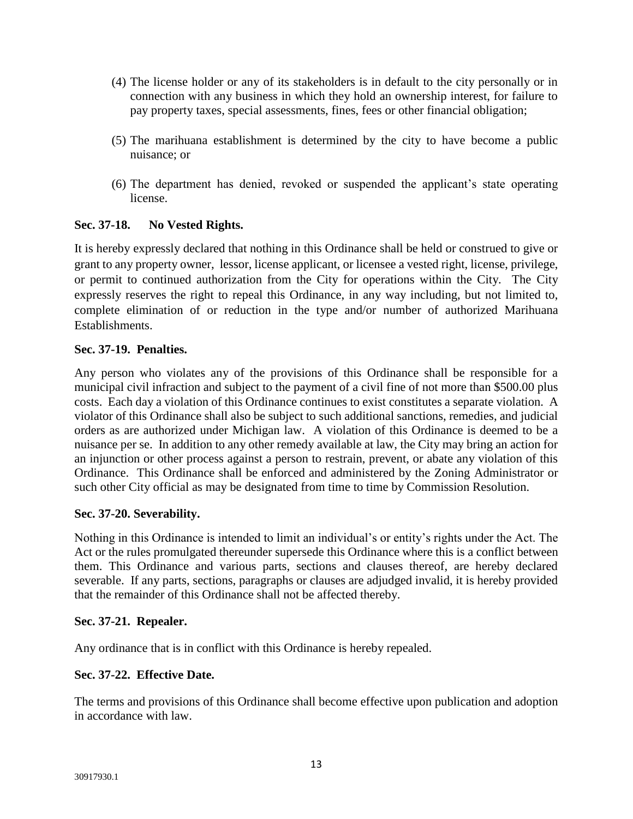- (4) The license holder or any of its stakeholders is in default to the city personally or in connection with any business in which they hold an ownership interest, for failure to pay property taxes, special assessments, fines, fees or other financial obligation;
- (5) The marihuana establishment is determined by the city to have become a public nuisance; or
- (6) The department has denied, revoked or suspended the applicant's state operating license.

# **Sec. 37-18. No Vested Rights.**

It is hereby expressly declared that nothing in this Ordinance shall be held or construed to give or grant to any property owner, lessor, license applicant, or licensee a vested right, license, privilege, or permit to continued authorization from the City for operations within the City. The City expressly reserves the right to repeal this Ordinance, in any way including, but not limited to, complete elimination of or reduction in the type and/or number of authorized Marihuana Establishments.

# **Sec. 37-19. Penalties.**

Any person who violates any of the provisions of this Ordinance shall be responsible for a municipal civil infraction and subject to the payment of a civil fine of not more than \$500.00 plus costs. Each day a violation of this Ordinance continues to exist constitutes a separate violation. A violator of this Ordinance shall also be subject to such additional sanctions, remedies, and judicial orders as are authorized under Michigan law. A violation of this Ordinance is deemed to be a nuisance per se. In addition to any other remedy available at law, the City may bring an action for an injunction or other process against a person to restrain, prevent, or abate any violation of this Ordinance. This Ordinance shall be enforced and administered by the Zoning Administrator or such other City official as may be designated from time to time by Commission Resolution.

# **Sec. 37-20. Severability.**

Nothing in this Ordinance is intended to limit an individual's or entity's rights under the Act. The Act or the rules promulgated thereunder supersede this Ordinance where this is a conflict between them. This Ordinance and various parts, sections and clauses thereof, are hereby declared severable. If any parts, sections, paragraphs or clauses are adjudged invalid, it is hereby provided that the remainder of this Ordinance shall not be affected thereby.

# **Sec. 37-21. Repealer.**

Any ordinance that is in conflict with this Ordinance is hereby repealed.

# **Sec. 37-22. Effective Date.**

The terms and provisions of this Ordinance shall become effective upon publication and adoption in accordance with law.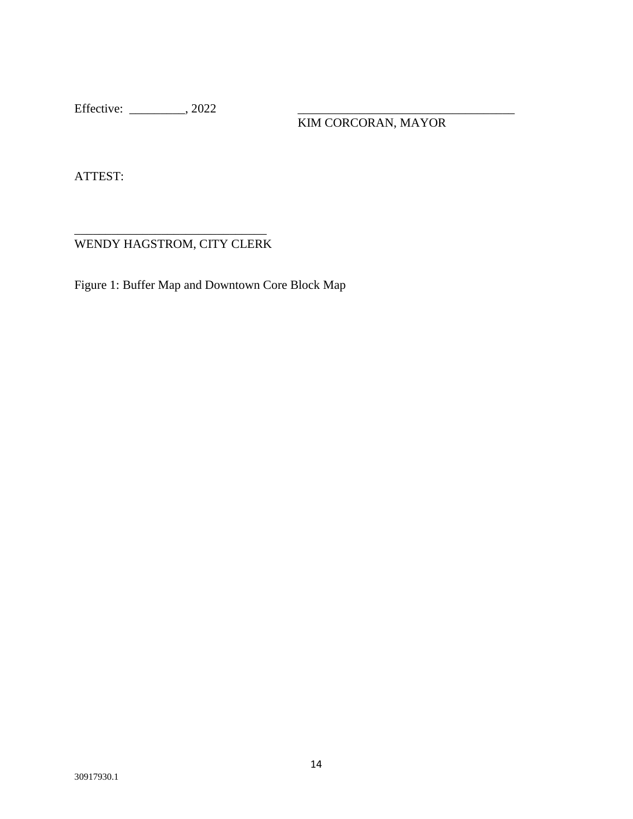Effective: \_\_\_\_\_\_\_\_\_\_\_\_, 2022

KIM CORCORAN, MAYOR

ATTEST:

\_\_\_\_\_\_\_\_\_\_\_\_\_\_\_\_\_\_\_\_\_\_\_\_\_\_\_\_\_\_\_ WENDY HAGSTROM, CITY CLERK

Figure 1: Buffer Map and Downtown Core Block Map